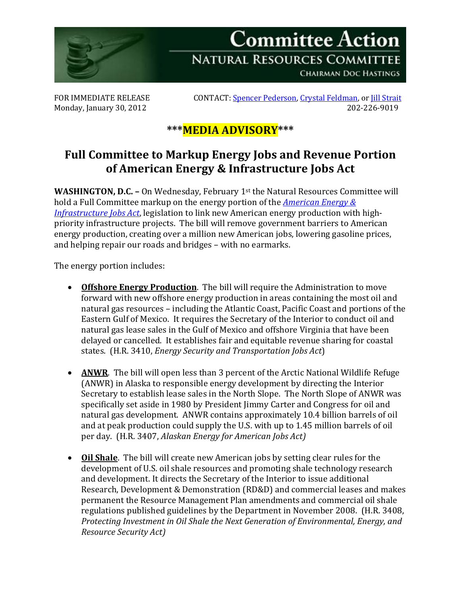

Monday, January 30, 2012

FOR IMMEDIATE RELEASE CONTACT: <u>Spencer Pederson, Crystal Feldman</u>, or <u>Jill Strait</u><br>Mondav. January 30. 2012

## **\*\*\*MEDIA ADVISORY\*\*\***

## **Full Committee to Markup Energy Jobs and Revenue Portion of American Energy & Infrastructure Jobs Act**

**WASHINGTON, D.C. –** On Wednesday, February 1st the Natural Resources Committee will hold a Full Committee markup on the energy portion of the *[American Energy &](http://www.speaker.gov/blog/?postid=269320)  [Infrastructure Jobs Act](http://www.speaker.gov/blog/?postid=269320)*, legislation to link new American energy production with highpriority infrastructure projects. The bill will remove government barriers to American energy production, creating over a million new American jobs, lowering gasoline prices, and helping repair our roads and bridges – with no earmarks.

The energy portion includes:

- **Offshore Energy Production**. The bill will require the Administration to move forward with new offshore energy production in areas containing the most oil and natural gas resources – including the Atlantic Coast, Pacific Coast and portions of the Eastern Gulf of Mexico. It requires the Secretary of the Interior to conduct oil and natural gas lease sales in the Gulf of Mexico and offshore Virginia that have been delayed or cancelled. It establishes fair and equitable revenue sharing for coastal states. (H.R. 3410, *Energy Security and Transportation Jobs Act*)
- **ANWR**. The bill will open less than 3 percent of the Arctic National Wildlife Refuge (ANWR) in Alaska to responsible energy development by directing the Interior Secretary to establish lease sales in the North Slope. The North Slope of ANWR was specifically set aside in 1980 by President Jimmy Carter and Congress for oil and natural gas development. ANWR contains approximately 10.4 billion barrels of oil and at peak production could supply the U.S. with up to 1.45 million barrels of oil per day. (H.R. 3407, *Alaskan Energy for American Jobs Act)*
- **Oil Shale**. The bill will create new American jobs by setting clear rules for the development of U.S. oil shale resources and promoting shale technology research and development. It directs the Secretary of the Interior to issue additional Research, Development & Demonstration (RD&D) and commercial leases and makes permanent the Resource Management Plan amendments and commercial oil shale regulations published guidelines by the Department in November 2008. (H.R. 3408, *Protecting Investment in Oil Shale the Next Generation of Environmental, Energy, and Resource Security Act)*